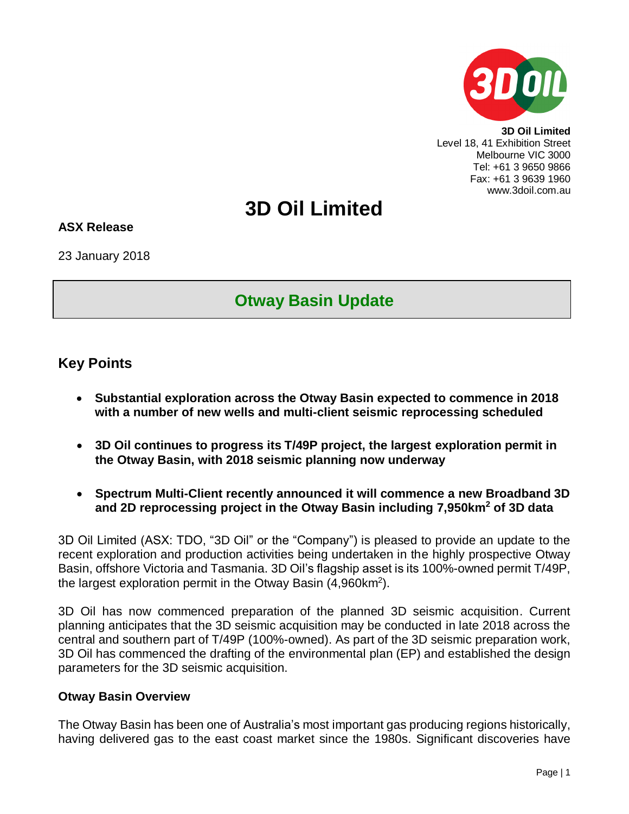

**3D Oil Limited** Level 18, 41 Exhibition Street Melbourne VIC 3000 Tel: +61 3 9650 9866 Fax: +61 3 9639 1960 www.3doil.com.au

# **3D Oil Limited**

#### **ASX Release**

23 January 2018

## **Otway Basin Update**

## **Key Points**

- **Substantial exploration across the Otway Basin expected to commence in 2018 with a number of new wells and multi-client seismic reprocessing scheduled**
- **3D Oil continues to progress its T/49P project, the largest exploration permit in the Otway Basin, with 2018 seismic planning now underway**
- **Spectrum Multi-Client recently announced it will commence a new Broadband 3D and 2D reprocessing project in the Otway Basin including 7,950km<sup>2</sup> of 3D data**

3D Oil Limited (ASX: TDO, "3D Oil" or the "Company") is pleased to provide an update to the recent exploration and production activities being undertaken in the highly prospective Otway Basin, offshore Victoria and Tasmania. 3D Oil's flagship asset is its 100%-owned permit T/49P, the largest exploration permit in the Otway Basin (4,960km<sup>2</sup>).

3D Oil has now commenced preparation of the planned 3D seismic acquisition. Current planning anticipates that the 3D seismic acquisition may be conducted in late 2018 across the central and southern part of T/49P (100%-owned). As part of the 3D seismic preparation work, 3D Oil has commenced the drafting of the environmental plan (EP) and established the design parameters for the 3D seismic acquisition.

#### **Otway Basin Overview**

The Otway Basin has been one of Australia's most important gas producing regions historically, having delivered gas to the east coast market since the 1980s. Significant discoveries have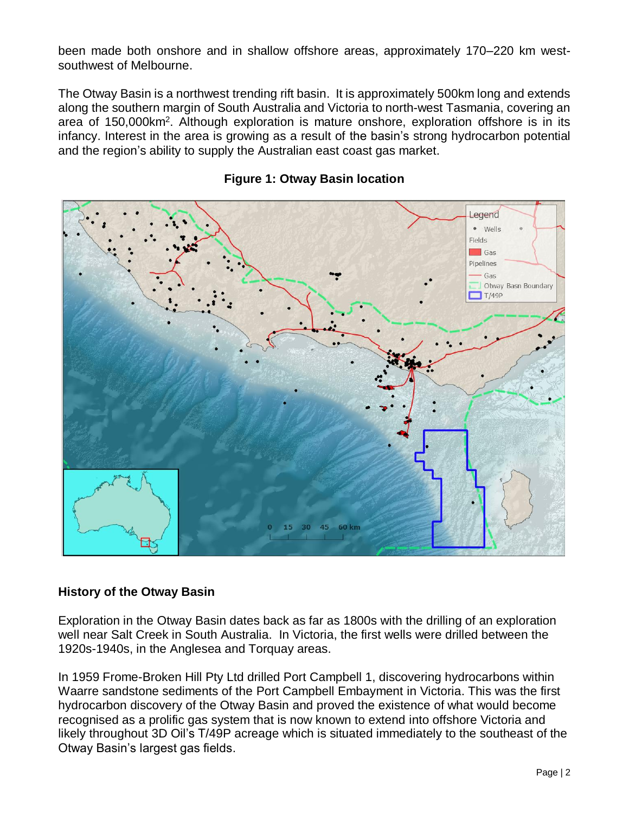been made both onshore and in shallow offshore areas, approximately 170–220 km westsouthwest of Melbourne.

The Otway Basin is a northwest trending rift basin. It is approximately 500km long and extends along the southern margin of South Australia and Victoria to north-west Tasmania, covering an area of 150,000km<sup>2</sup>. Although exploration is mature onshore, exploration offshore is in its infancy. Interest in the area is growing as a result of the basin's strong hydrocarbon potential and the region's ability to supply the Australian east coast gas market.



#### **Figure 1: Otway Basin location**

#### **History of the Otway Basin**

Exploration in the Otway Basin dates back as far as 1800s with the drilling of an exploration well near Salt Creek in South Australia. In Victoria, the first wells were drilled between the 1920s-1940s, in the Anglesea and Torquay areas.

In 1959 Frome-Broken Hill Pty Ltd drilled Port Campbell 1, discovering hydrocarbons within Waarre sandstone sediments of the Port Campbell Embayment in Victoria. This was the first hydrocarbon discovery of the Otway Basin and proved the existence of what would become recognised as a prolific gas system that is now known to extend into offshore Victoria and likely throughout 3D Oil's T/49P acreage which is situated immediately to the southeast of the Otway Basin's largest gas fields.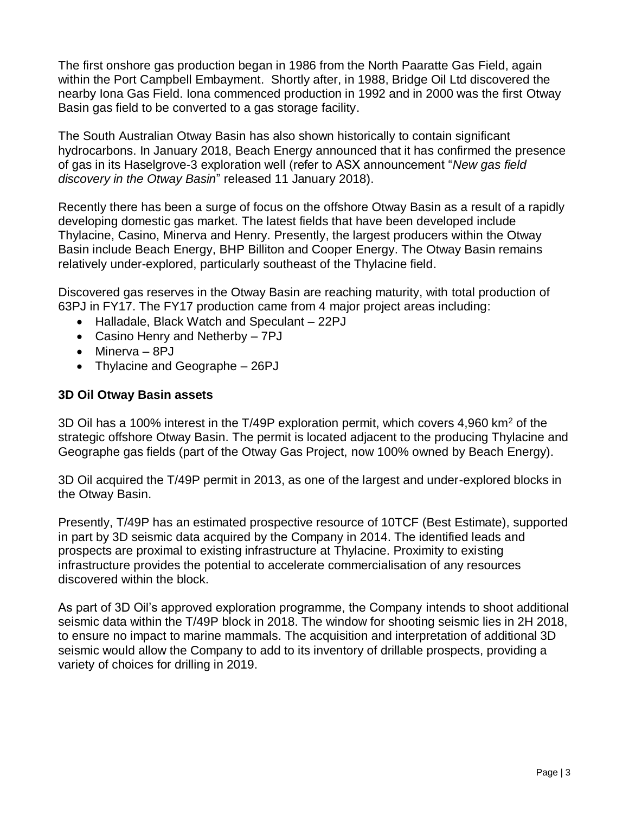The first onshore gas production began in 1986 from the North Paaratte Gas Field, again within the Port Campbell Embayment. Shortly after, in 1988, Bridge Oil Ltd discovered the nearby Iona Gas Field. Iona commenced production in 1992 and in 2000 was the first Otway Basin gas field to be converted to a gas storage facility.

The South Australian Otway Basin has also shown historically to contain significant hydrocarbons. In January 2018, Beach Energy announced that it has confirmed the presence of gas in its Haselgrove-3 exploration well (refer to ASX announcement "*New gas field discovery in the Otway Basin*" released 11 January 2018).

Recently there has been a surge of focus on the offshore Otway Basin as a result of a rapidly developing domestic gas market. The latest fields that have been developed include Thylacine, Casino, Minerva and Henry. Presently, the largest producers within the Otway Basin include Beach Energy, BHP Billiton and Cooper Energy. The Otway Basin remains relatively under-explored, particularly southeast of the Thylacine field.

Discovered gas reserves in the Otway Basin are reaching maturity, with total production of 63PJ in FY17. The FY17 production came from 4 major project areas including:

- Halladale, Black Watch and Speculant 22PJ
- Casino Henry and Netherby 7PJ
- Minerva 8PJ
- Thylacine and Geographe 26PJ

#### **3D Oil Otway Basin assets**

3D Oil has a 100% interest in the T/49P exploration permit, which covers 4,960 km<sup>2</sup> of the strategic offshore Otway Basin. The permit is located adjacent to the producing Thylacine and Geographe gas fields (part of the Otway Gas Project, now 100% owned by Beach Energy).

3D Oil acquired the T/49P permit in 2013, as one of the largest and under-explored blocks in the Otway Basin.

Presently, T/49P has an estimated prospective resource of 10TCF (Best Estimate), supported in part by 3D seismic data acquired by the Company in 2014. The identified leads and prospects are proximal to existing infrastructure at Thylacine. Proximity to existing infrastructure provides the potential to accelerate commercialisation of any resources discovered within the block.

As part of 3D Oil's approved exploration programme, the Company intends to shoot additional seismic data within the T/49P block in 2018. The window for shooting seismic lies in 2H 2018, to ensure no impact to marine mammals. The acquisition and interpretation of additional 3D seismic would allow the Company to add to its inventory of drillable prospects, providing a variety of choices for drilling in 2019.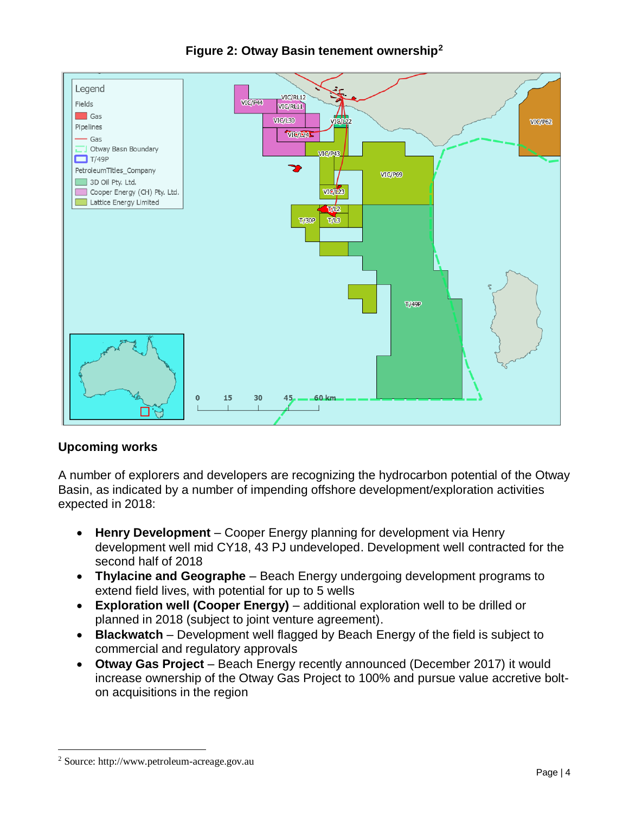

### **Figure 2: Otway Basin tenement ownership<sup>2</sup>**

#### **Upcoming works**

A number of explorers and developers are recognizing the hydrocarbon potential of the Otway Basin, as indicated by a number of impending offshore development/exploration activities expected in 2018:

- **Henry Development** Cooper Energy planning for development via Henry development well mid CY18, 43 PJ undeveloped. Development well contracted for the second half of 2018
- **Thylacine and Geographe** Beach Energy undergoing development programs to extend field lives, with potential for up to 5 wells
- **Exploration well (Cooper Energy)** additional exploration well to be drilled or planned in 2018 (subject to joint venture agreement).
- **Blackwatch** Development well flagged by Beach Energy of the field is subject to commercial and regulatory approvals
- **Otway Gas Project** Beach Energy recently announced (December 2017) it would increase ownership of the Otway Gas Project to 100% and pursue value accretive bolton acquisitions in the region

 $\overline{a}$ 

<sup>2</sup> Source: http://www.petroleum-acreage.gov.au